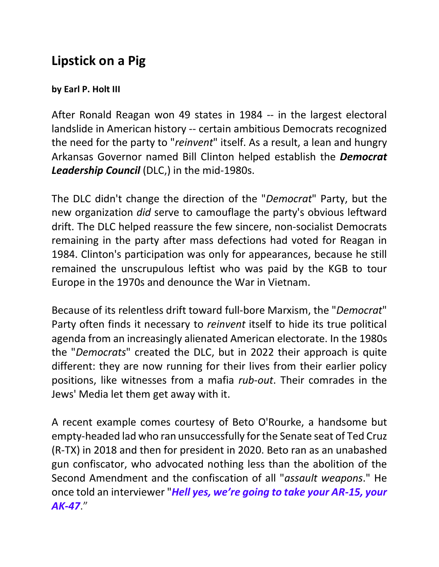## **Lipstick on a Pig**

## **by Earl P. Holt III**

After Ronald Reagan won 49 states in 1984 -- in the largest electoral landslide in American history -- certain ambitious Democrats recognized the need for the party to "*reinvent*" itself. As a result, a lean and hungry Arkansas Governor named Bill Clinton helped establish the *Democrat Leadership Council* (DLC,) in the mid-1980s.

The DLC didn't change the direction of the "*Democrat*" Party, but the new organization *did* serve to camouflage the party's obvious leftward drift. The DLC helped reassure the few sincere, non-socialist Democrats remaining in the party after mass defections had voted for Reagan in 1984. Clinton's participation was only for appearances, because he still remained the unscrupulous leftist who was paid by the KGB to tour Europe in the 1970s and denounce the War in Vietnam.

Because of its relentless drift toward full-bore Marxism, the "*Democrat*" Party often finds it necessary to *reinvent* itself to hide its true political agenda from an increasingly alienated American electorate. In the 1980s the "*Democrats*" created the DLC, but in 2022 their approach is quite different: they are now running for their lives from their earlier policy positions, like witnesses from a mafia *rub-out*. Their comrades in the Jews' Media let them get away with it.

A recent example comes courtesy of Beto O'Rourke, a handsome but empty-headed lad who ran unsuccessfully for the Senate seat of Ted Cruz (R-TX) in 2018 and then for president in 2020. Beto ran as an unabashed gun confiscator, who advocated nothing less than the abolition of the Second Amendment and the confiscation of all "*assault weapons*." He once told an interviewer "*Hell yes, we're going to take your AR-15, your AK-47*."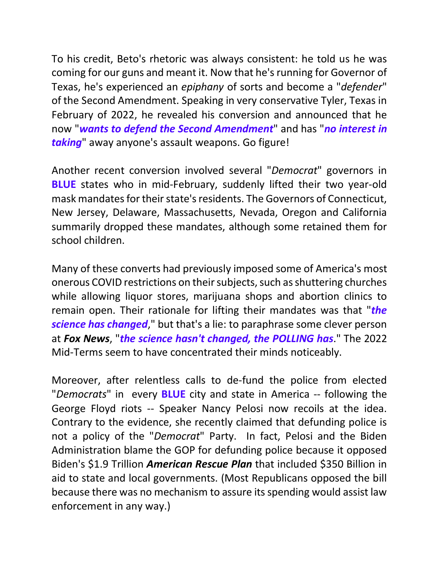To his credit, Beto's rhetoric was always consistent: he told us he was coming for our guns and meant it. Now that he's running for Governor of Texas, he's experienced an *epiphany* of sorts and become a "*defender*" of the Second Amendment. Speaking in very conservative Tyler, Texas in February of 2022, he revealed his conversion and announced that he now "*wants to defend the Second Amendment*" and has "*no interest in taking*" away anyone's assault weapons. Go figure!

Another recent conversion involved several "*Democrat*" governors in **BLUE** states who in mid-February, suddenly lifted their two year-old mask mandatesfor their state's residents. The Governors of Connecticut, New Jersey, Delaware, Massachusetts, Nevada, Oregon and California summarily dropped these mandates, although some retained them for school children.

Many of these converts had previously imposed some of America's most onerous COVID restrictions on their subjects, such as shuttering churches while allowing liquor stores, marijuana shops and abortion clinics to remain open. Their rationale for lifting their mandates was that "*the science has changed*," but that's a lie: to paraphrase some clever person at *Fox News*, "*the science hasn't changed, the POLLING has*." The 2022 Mid-Terms seem to have concentrated their minds noticeably.

Moreover, after relentless calls to de-fund the police from elected "*Democrats*" in every **BLUE** city and state in America -- following the George Floyd riots -- Speaker Nancy Pelosi now recoils at the idea. Contrary to the evidence, she recently claimed that defunding police is not a policy of the "*Democrat*" Party. In fact, Pelosi and the Biden Administration blame the GOP for defunding police because it opposed Biden's \$1.9 Trillion *American Rescue Plan* that included \$350 Billion in aid to state and local governments. (Most Republicans opposed the bill because there was no mechanism to assure its spending would assist law enforcement in any way.)